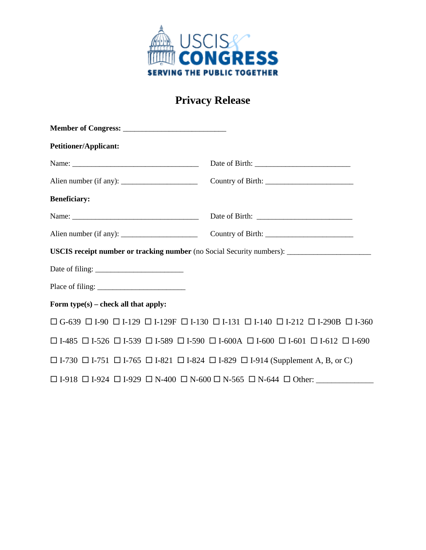

## **Privacy Release**

| <b>Petitioner/Applicant:</b>         |                                                                                                                                    |
|--------------------------------------|------------------------------------------------------------------------------------------------------------------------------------|
|                                      |                                                                                                                                    |
|                                      |                                                                                                                                    |
| <b>Beneficiary:</b>                  |                                                                                                                                    |
|                                      |                                                                                                                                    |
|                                      |                                                                                                                                    |
|                                      | USCIS receipt number or tracking number (no Social Security numbers): ______________________________                               |
|                                      |                                                                                                                                    |
|                                      |                                                                                                                                    |
| Form type(s) – check all that apply: |                                                                                                                                    |
|                                      | $\Box$ G-639 $\Box$ I-90 $\Box$ I-129 $\Box$ I-129F $\Box$ I-130 $\Box$ I-131 $\Box$ I-140 $\Box$ I-212 $\Box$ I-290B $\Box$ I-360 |
|                                      | $\Box$ I-485 $\Box$ I-526 $\Box$ I-539 $\Box$ I-589 $\Box$ I-590 $\Box$ I-600 $\Box$ I-600 $\Box$ I-601 $\Box$ I-612 $\Box$ I-690  |
|                                      | $\Box$ I-730 $\Box$ I-751 $\Box$ I-765 $\Box$ I-821 $\Box$ I-824 $\Box$ I-829 $\Box$ I-914 (Supplement A, B, or C)                 |
|                                      | $\Box$ I-918 $\Box$ I-924 $\Box$ I-929 $\Box$ N-400 $\Box$ N-600 $\Box$ N-565 $\Box$ N-644 $\Box$ Other:                           |